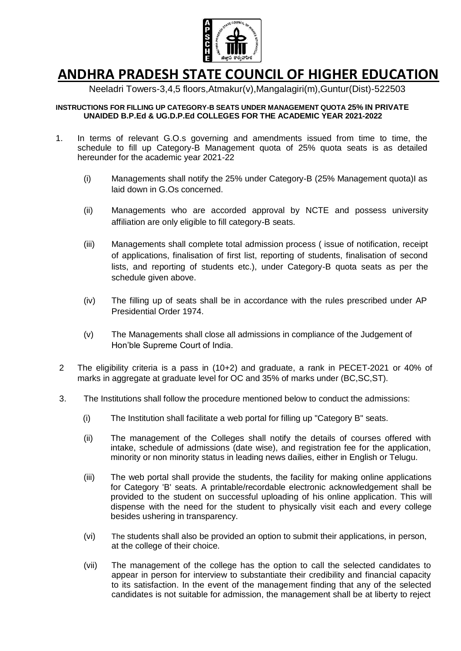

# **ANDHRA PRADESH STATE COUNCIL OF HIGHER EDUCATION**

Neeladri Towers-3,4,5 floors,Atmakur(v),Mangalagiri(m),Guntur(Dist)-522503

#### **INSTRUCTIONS FOR FILLING UP CATEGORY-B SEATS UNDER MANAGEMENT QUOTA 25% IN PRIVATE UNAIDED B.P.Ed & UG.D.P.Ed COLLEGES FOR THE ACADEMIC YEAR 2021-2022**

- 1. In terms of relevant G.O.s governing and amendments issued from time to time, the schedule to fill up Category-B Management quota of 25% quota seats is as detailed hereunder for the academic year 2021-22
	- (i) Managements shall notify the 25% under Category-B (25% Management quota)I as laid down in G.Os concerned.
	- (ii) Managements who are accorded approval by NCTE and possess university affiliation are only eligible to fill category-B seats.
	- (iii) Managements shall complete total admission process ( issue of notification, receipt of applications, finalisation of first list, reporting of students, finalisation of second lists, and reporting of students etc.), under Category-B quota seats as per the schedule given above.
	- (iv) The filling up of seats shall be in accordance with the rules prescribed under AP Presidential Order 1974.
	- (v) The Managements shall close all admissions in compliance of the Judgement of Hon'ble Supreme Court of India.
- 2 The eligibility criteria is a pass in (10+2) and graduate, a rank in PECET-2021 or 40% of marks in aggregate at graduate level for OC and 35% of marks under (BC,SC,ST).
- 3. The Institutions shall follow the procedure mentioned below to conduct the admissions:
	- (i) The Institution shall facilitate a web portal for filling up "Category B" seats.
	- (ii) The management of the Colleges shall notify the details of courses offered with intake, schedule of admissions (date wise), and registration fee for the application, minority or non minority status in leading news dailies, either in English or Telugu.
	- (iii) The web portal shall provide the students, the facility for making online applications for Category 'B' seats. A printable/recordable electronic acknowledgement shall be provided to the student on successful uploading of his online application. This will dispense with the need for the student to physically visit each and every college besides ushering in transparency.
	- (vi) The students shall also be provided an option to submit their applications, in person, at the college of their choice.
	- (vii) The management of the college has the option to call the selected candidates to appear in person for interview to substantiate their credibility and financial capacity to its satisfaction. In the event of the management finding that any of the selected candidates is not suitable for admission, the management shall be at liberty to reject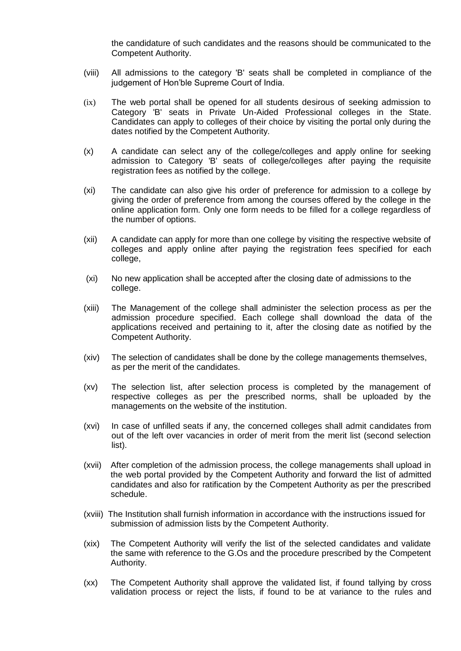the candidature of such candidates and the reasons should be communicated to the Competent Authority.

- (viii) All admissions to the category 'B' seats shall be completed in compliance of the judgement of Hon'ble Supreme Court of India.
- (ix) The web portal shall be opened for all students desirous of seeking admission to Category 'B' seats in Private Un-Aided Professional colleges in the State. Candidates can apply to colleges of their choice by visiting the portal only during the dates notified by the Competent Authority.
- (x) A candidate can select any of the college/colleges and apply online for seeking admission to Category 'B' seats of college/colleges after paying the requisite registration fees as notified by the college.
- (xi) The candidate can also give his order of preference for admission to a college by giving the order of preference from among the courses offered by the college in the online application form. Only one form needs to be filled for a college regardless of the number of options.
- (xii) A candidate can apply for more than one college by visiting the respective website of colleges and apply online after paying the registration fees specified for each college,
- (xi) No new application shall be accepted after the closing date of admissions to the college.
- (xiii) The Management of the college shall administer the selection process as per the admission procedure specified. Each college shall download the data of the applications received and pertaining to it, after the closing date as notified by the Competent Authority.
- (xiv) The selection of candidates shall be done by the college managements themselves, as per the merit of the candidates.
- (xv) The selection list, after selection process is completed by the management of respective colleges as per the prescribed norms, shall be uploaded by the managements on the website of the institution.
- (xvi) In case of unfilled seats if any, the concerned colleges shall admit candidates from out of the left over vacancies in order of merit from the merit list (second selection list).
- (xvii) After completion of the admission process, the college managements shall upload in the web portal provided by the Competent Authority and forward the list of admitted candidates and also for ratification by the Competent Authority as per the prescribed schedule.
- (xviii) The Institution shall furnish information in accordance with the instructions issued for submission of admission lists by the Competent Authority.
- (xix) The Competent Authority will verify the list of the selected candidates and validate the same with reference to the G.Os and the procedure prescribed by the Competent Authority.
- (xx) The Competent Authority shall approve the validated list, if found tallying by cross validation process or reject the lists, if found to be at variance to the rules and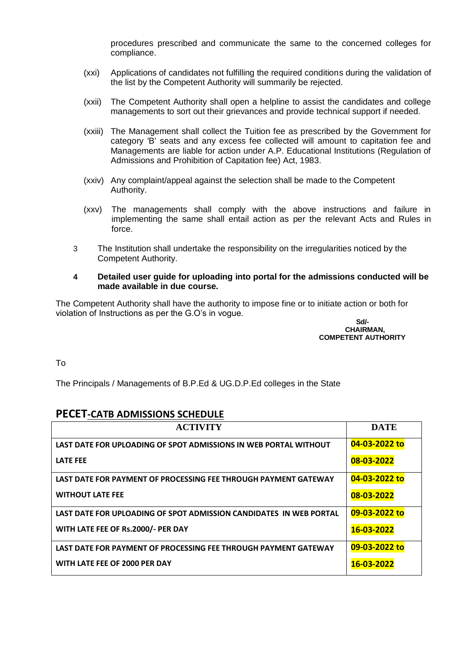procedures prescribed and communicate the same to the concerned colleges for compliance.

- (xxi) Applications of candidates not fulfilling the required conditions during the validation of the list by the Competent Authority will summarily be rejected.
- (xxii) The Competent Authority shall open a helpline to assist the candidates and college managements to sort out their grievances and provide technical support if needed.
- (xxiii) The Management shall collect the Tuition fee as prescribed by the Government for category 'B' seats and any excess fee collected will amount to capitation fee and Managements are liable for action under A.P. Educational Institutions (Regulation of Admissions and Prohibition of Capitation fee) Act, 1983.
- (xxiv) Any complaint/appeal against the selection shall be made to the Competent Authority.
- (xxv) The managements shall comply with the above instructions and failure in implementing the same shall entail action as per the relevant Acts and Rules in force.
- 3 The Institution shall undertake the responsibility on the irregularities noticed by the Competent Authority.
- **4 Detailed user guide for uploading into portal for the admissions conducted will be made available in due course.**

The Competent Authority shall have the authority to impose fine or to initiate action or both for violation of Instructions as per the G.O's in vogue.

#### **Sd/- CHAIRMAN, COMPETENT AUTHORITY**

To

The Principals / Managements of B.P.Ed & UG.D.P.Ed colleges in the State

## **PECET-CATB ADMISSIONS SCHEDULE**

| <b>ACTIVITY</b>                                                    | <b>DATE</b>   |
|--------------------------------------------------------------------|---------------|
| LAST DATE FOR UPLOADING OF SPOT ADMISSIONS IN WEB PORTAL WITHOUT   | 04-03-2022 to |
| <b>LATE FEE</b>                                                    | 08-03-2022    |
| LAST DATE FOR PAYMENT OF PROCESSING FEE THROUGH PAYMENT GATEWAY    | 04-03-2022 to |
| <b>WITHOUT LATE FEE</b>                                            | 08-03-2022    |
| LAST DATE FOR UPLOADING OF SPOT ADMISSION CANDIDATES IN WEB PORTAL | 09-03-2022 to |
| WITH LATE FEE OF Rs.2000/- PER DAY                                 | 16-03-2022    |
| LAST DATE FOR PAYMENT OF PROCESSING FEE THROUGH PAYMENT GATEWAY    | 09-03-2022 to |
| WITH LATE FEE OF 2000 PER DAY                                      | 16-03-2022    |